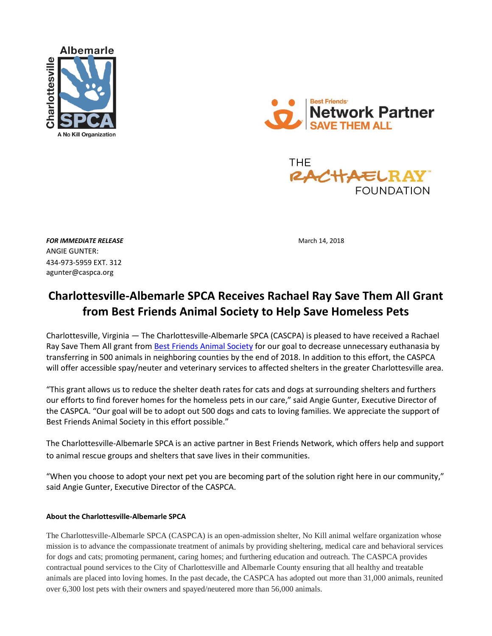





**FOR IMMEDIATE RELEASE March 14, 2018** ANGIE GUNTER: 434-973-5959 EXT. 312 agunter@caspca.org

## **Charlottesville-Albemarle SPCA Receives Rachael Ray Save Them All Grant from Best Friends Animal Society to Help Save Homeless Pets**

Charlottesville, Virginia — The Charlottesville-Albemarle SPCA (CASCPA) is pleased to have received a Rachael Ray Save Them All grant from [Best Friends Animal Society](http://www.bestfriends.org/) for our goal to decrease unnecessary euthanasia by transferring in 500 animals in neighboring counties by the end of 2018. In addition to this effort, the CASPCA will offer accessible spay/neuter and veterinary services to affected shelters in the greater Charlottesville area.

"This grant allows us to reduce the shelter death rates for cats and dogs at surrounding shelters and furthers our efforts to find forever homes for the homeless pets in our care," said Angie Gunter, Executive Director of the CASPCA. "Our goal will be to adopt out 500 dogs and cats to loving families. We appreciate the support of Best Friends Animal Society in this effort possible."

The Charlottesville-Albemarle SPCA is an active partner in Best Friends Network, which offers help and support to animal rescue groups and shelters that save lives in their communities.

"When you choose to adopt your next pet you are becoming part of the solution right here in our community," said Angie Gunter, Executive Director of the CASPCA.

## **About the Charlottesville-Albemarle SPCA**

The Charlottesville-Albemarle SPCA (CASPCA) is an open-admission shelter, No Kill animal welfare organization whose mission is to advance the compassionate treatment of animals by providing sheltering, medical care and behavioral services for dogs and cats; promoting permanent, caring homes; and furthering education and outreach. The CASPCA provides contractual pound services to the City of Charlottesville and Albemarle County ensuring that all healthy and treatable animals are placed into loving homes. In the past decade, the CASPCA has adopted out more than 31,000 animals, reunited over 6,300 lost pets with their owners and spayed/neutered more than 56,000 animals.